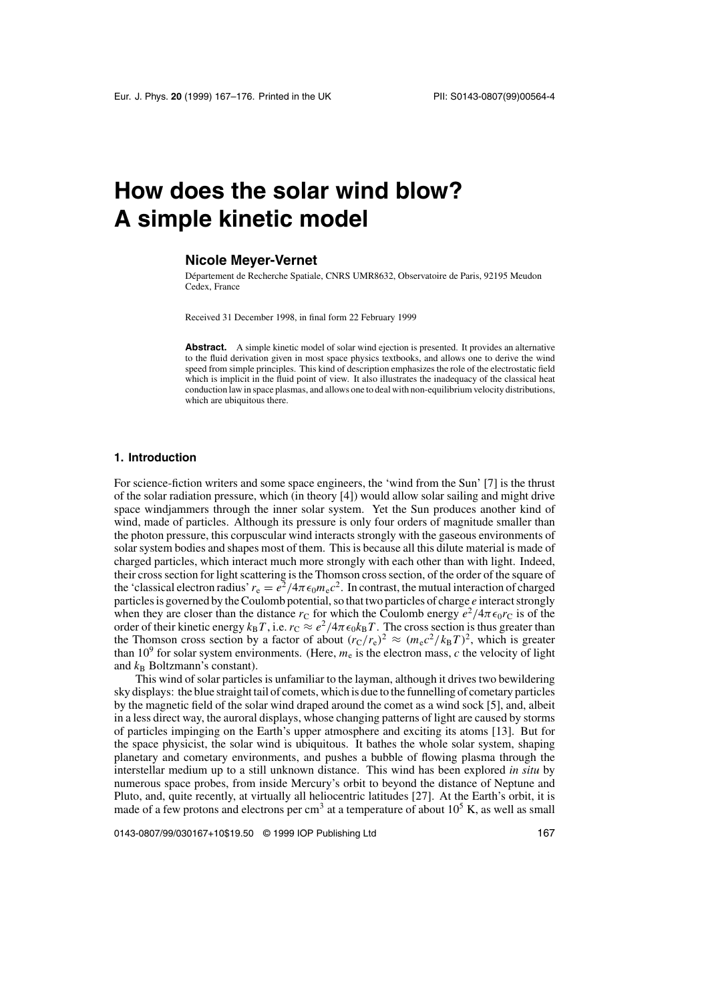# How does the solar wind blow? A simple kinetic model

# Nicole Meyer-Vernet

Departement de Recherche Spatiale, CNRS UMR8632, Observatoire de Paris, 92195 Meudon ´ Cedex, France

Received 31 December 1998, in final form 22 February 1999

Abstract. A simple kinetic model of solar wind ejection is presented. It provides an alternative to the fluid derivation given in most space physics textbooks, and allows one to derive the wind speed from simple principles. This kind of description emphasizes the role of the electrostatic field which is implicit in the fluid point of view. It also illustrates the inadequacy of the classical heat conduction law in space plasmas, and allows one to deal with non-equilibrium velocity distributions, which are ubiquitous there.

## 1. Introduction

For science-fiction writers and some space engineers, the 'wind from the Sun' [7] is the thrust of the solar radiation pressure, which (in theory [4]) would allow solar sailing and might drive space windjammers through the inner solar system. Yet the Sun produces another kind of wind, made of particles. Although its pressure is only four orders of magnitude smaller than the photon pressure, this corpuscular wind interacts strongly with the gaseous environments of solar system bodies and shapes most of them. This is because all this dilute material is made of charged particles, which interact much more strongly with each other than with light. Indeed, their cross section for light scattering is the Thomson cross section, of the order of the square of the 'classical electron radius'  $r_e = e^2/4\pi\epsilon_0 m_e c^2$ . In contrast, the mutual interaction of charged particles is governed by the Coulomb potential, so that two particles of charge  $e$  interact strongly when they are closer than the distance  $r_C$  for which the Coulomb energy  $e^2/4\pi\epsilon_0r_C$  is of the order of their kinetic energy  $k_B T$ , i.e.  $r_C \approx e^2/4\pi \epsilon_0 k_B T$ . The cross section is thus greater than the Thomson cross section by a factor of about  $(r_{\rm C}/r_{\rm e})^2 \approx (m_{\rm e}c^2/k_{\rm B}T)^2$ , which is greater than 10<sup>9</sup> for solar system environments. (Here,  $m_e$  is the electron mass, c the velocity of light and  $k_B$  Boltzmann's constant).

This wind of solar particles is unfamiliar to the layman, although it drives two bewildering sky displays: the blue straight tail of comets, which is due to the funnelling of cometary particles by the magnetic field of the solar wind draped around the comet as a wind sock [5], and, albeit in a less direct way, the auroral displays, whose changing patterns of light are caused by storms of particles impinging on the Earth's upper atmosphere and exciting its atoms [13]. But for the space physicist, the solar wind is ubiquitous. It bathes the whole solar system, shaping planetary and cometary environments, and pushes a bubble of flowing plasma through the interstellar medium up to a still unknown distance. This wind has been explored in situ by numerous space probes, from inside Mercury's orbit to beyond the distance of Neptune and Pluto, and, quite recently, at virtually all heliocentric latitudes [27]. At the Earth's orbit, it is made of a few protons and electrons per  $cm<sup>3</sup>$  at a temperature of about  $10<sup>5</sup>$  K, as well as small

0143-0807/99/030167+10\$19.50 © 1999 IOP Publishing Ltd 167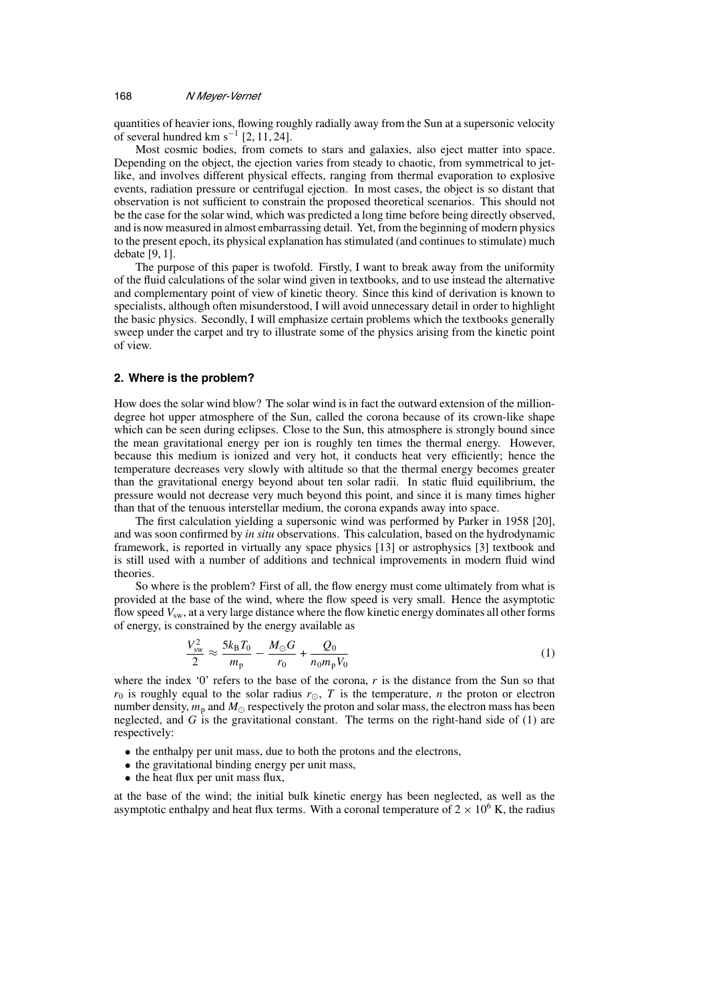# 168 *N Meyer-Vernet*

quantities of heavier ions, flowing roughly radially away from the Sun at a supersonic velocity of several hundred km  $s^{-1}$  [2, 11, 24].

Most cosmic bodies, from comets to stars and galaxies, also eject matter into space. Depending on the object, the ejection varies from steady to chaotic, from symmetrical to jetlike, and involves different physical effects, ranging from thermal evaporation to explosive events, radiation pressure or centrifugal ejection. In most cases, the object is so distant that observation is not sufficient to constrain the proposed theoretical scenarios. This should not be the case for the solar wind, which was predicted a long time before being directly observed, and is now measured in almost embarrassing detail. Yet, from the beginning of modern physics to the present epoch, its physical explanation has stimulated (and continues to stimulate) much debate [9, 1].

The purpose of this paper is twofold. Firstly, I want to break away from the uniformity of the fluid calculations of the solar wind given in textbooks, and to use instead the alternative and complementary point of view of kinetic theory. Since this kind of derivation is known to specialists, although often misunderstood, I will avoid unnecessary detail in order to highlight the basic physics. Secondly, I will emphasize certain problems which the textbooks generally sweep under the carpet and try to illustrate some of the physics arising from the kinetic point of view.

# 2. Where is the problem?

How does the solar wind blow? The solar wind is in fact the outward extension of the milliondegree hot upper atmosphere of the Sun, called the corona because of its crown-like shape which can be seen during eclipses. Close to the Sun, this atmosphere is strongly bound since the mean gravitational energy per ion is roughly ten times the thermal energy. However, because this medium is ionized and very hot, it conducts heat very efficiently; hence the temperature decreases very slowly with altitude so that the thermal energy becomes greater than the gravitational energy beyond about ten solar radii. In static fluid equilibrium, the pressure would not decrease very much beyond this point, and since it is many times higher than that of the tenuous interstellar medium, the corona expands away into space.

The first calculation yielding a supersonic wind was performed by Parker in 1958 [20], and was soon confirmed by in situ observations. This calculation, based on the hydrodynamic framework, is reported in virtually any space physics [13] or astrophysics [3] textbook and is still used with a number of additions and technical improvements in modern fluid wind theories.

So where is the problem? First of all, the flow energy must come ultimately from what is provided at the base of the wind, where the flow speed is very small. Hence the asymptotic flow speed  $V_{sw}$ , at a very large distance where the flow kinetic energy dominates all other forms of energy, is constrained by the energy available as

$$
\frac{V_{\rm sw}^2}{2} \approx \frac{5k_{\rm B}T_0}{m_{\rm p}} - \frac{M_{\odot}G}{r_0} + \frac{Q_0}{n_0m_{\rm p}V_0} \tag{1}
$$

where the index '0' refers to the base of the corona,  $r$  is the distance from the Sun so that  $r_0$  is roughly equal to the solar radius  $r_{\odot}$ , T is the temperature, n the proton or electron number density,  $m_p$  and  $M_\odot$  respectively the proton and solar mass, the electron mass has been neglected, and  $G$  is the gravitational constant. The terms on the right-hand side of  $(1)$  are respectively:

- the enthalpy per unit mass, due to both the protons and the electrons,
- the gravitational binding energy per unit mass,
- the heat flux per unit mass flux,

at the base of the wind; the initial bulk kinetic energy has been neglected, as well as the asymptotic enthalpy and heat flux terms. With a coronal temperature of  $2 \times 10^6$  K, the radius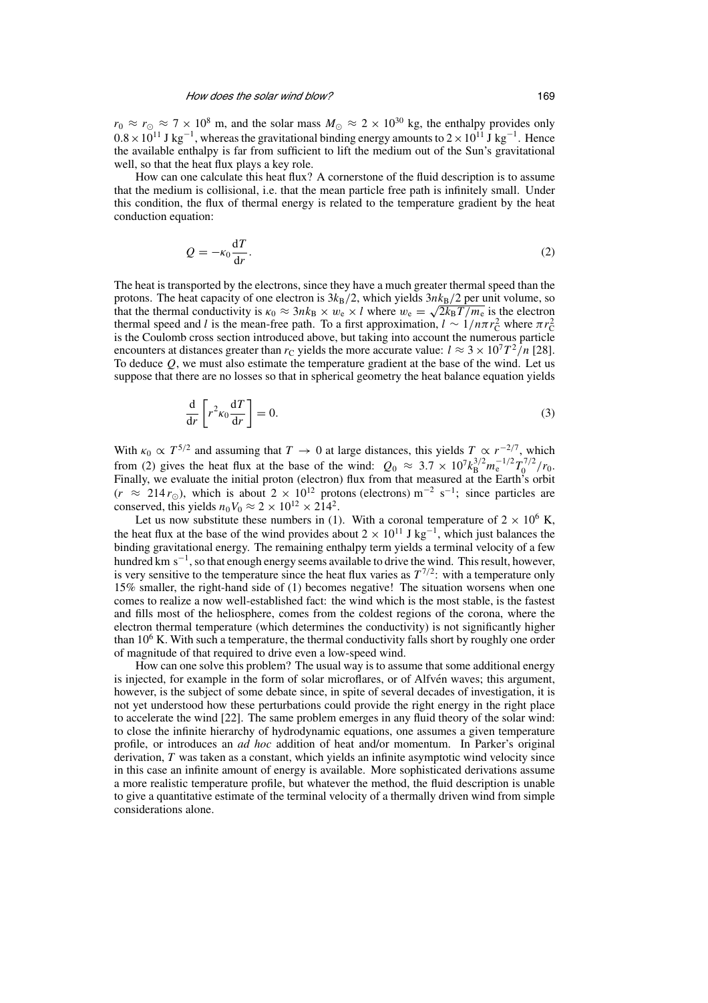$r_0 \approx r_\odot \approx 7 \times 10^8$  m, and the solar mass  $M_\odot \approx 2 \times 10^{30}$  kg, the enthalpy provides only  $0.8 \times 10^{11}$  J kg<sup>-1</sup>, whereas the gravitational binding energy amounts to  $2 \times 10^{11}$  J kg<sup>-1</sup>. Hence the available enthalpy is far from sufficient to lift the medium out of the Sun's gravitational well, so that the heat flux plays a key role.

How can one calculate this heat flux? A cornerstone of the fluid description is to assume that the medium is collisional, i.e. that the mean particle free path is infinitely small. Under this condition, the flux of thermal energy is related to the temperature gradient by the heat conduction equation:

$$
Q = -\kappa_0 \frac{\mathrm{d}T}{\mathrm{d}r}.\tag{2}
$$

The heat is transported by the electrons, since they have a much greater thermal speed than the protons. The heat capacity of one electron is  $3k_{\rm B}/2$ , which yields  $3nk_{\rm B}/2$  per unit volume, so that the thermal conductivity is  $\kappa_0 \approx 3nk_B \times w_e \times l$  where  $w_e = \sqrt{2k_B T/m_e}$  is the electron thermal speed and l is the mean-free path. To a first approximation,  $l \sim 1/n\pi r_{\rm C}^2$  where  $\pi r_{\rm C}^2$ is the Coulomb cross section introduced above, but taking into account the numerous particle encounters at distances greater than  $r_c$  yields the more accurate value:  $l \approx 3 \times 10^7 T^2/n$  [28]. To deduce  $Q$ , we must also estimate the temperature gradient at the base of the wind. Let us suppose that there are no losses so that in spherical geometry the heat balance equation yields

$$
\frac{\mathrm{d}}{\mathrm{d}r} \left[ r^2 \kappa_0 \frac{\mathrm{d}T}{\mathrm{d}r} \right] = 0. \tag{3}
$$

With  $\kappa_0 \propto T^{5/2}$  and assuming that  $T \to 0$  at large distances, this yields  $T \propto r^{-2/7}$ , which from (2) gives the heat flux at the base of the wind:  $Q_0 \approx 3.7 \times 10^7 k_B^{3/2} m_e^{-1/2} T_0^{7/2} / r_0$ . Finally, we evaluate the initial proton (electron) flux from that measured at the Earth's orbit  $(r \approx 214 r_{\odot})$ , which is about  $2 \times 10^{12}$  protons (electrons) m<sup>-2</sup> s<sup>-1</sup>; since particles are conserved, this yields  $n_0V_0 \approx 2 \times 10^{12} \times 214^2$ .

Let us now substitute these numbers in (1). With a coronal temperature of  $2 \times 10^6$  K, the heat flux at the base of the wind provides about  $2 \times 10^{11}$  J kg<sup>-1</sup>, which just balances the binding gravitational energy. The remaining enthalpy term yields a terminal velocity of a few hundred km s<sup>-1</sup>, so that enough energy seems available to drive the wind. This result, however, is very sensitive to the temperature since the heat flux varies as  $T^{7/2}$ : with a temperature only 15% smaller, the right-hand side of (1) becomes negative! The situation worsens when one comes to realize a now well-established fact: the wind which is the most stable, is the fastest and fills most of the heliosphere, comes from the coldest regions of the corona, where the electron thermal temperature (which determines the conductivity) is not significantly higher than 10<sup>6</sup> K. With such a temperature, the thermal conductivity falls short by roughly one order of magnitude of that required to drive even a low-speed wind.

How can one solve this problem? The usual way is to assume that some additional energy is injected, for example in the form of solar microflares, or of Alfven waves; this argument, however, is the subject of some debate since, in spite of several decades of investigation, it is not yet understood how these perturbations could provide the right energy in the right place to accelerate the wind [22]. The same problem emerges in any fluid theory of the solar wind: to close the infinite hierarchy of hydrodynamic equations, one assumes a given temperature profile, or introduces an ad hoc addition of heat and/or momentum. In Parker's original derivation,  $T$  was taken as a constant, which yields an infinite asymptotic wind velocity since in this case an infinite amount of energy is available. More sophisticated derivations assume a more realistic temperature profile, but whatever the method, the fluid description is unable to give a quantitative estimate of the terminal velocity of a thermally driven wind from simple considerations alone.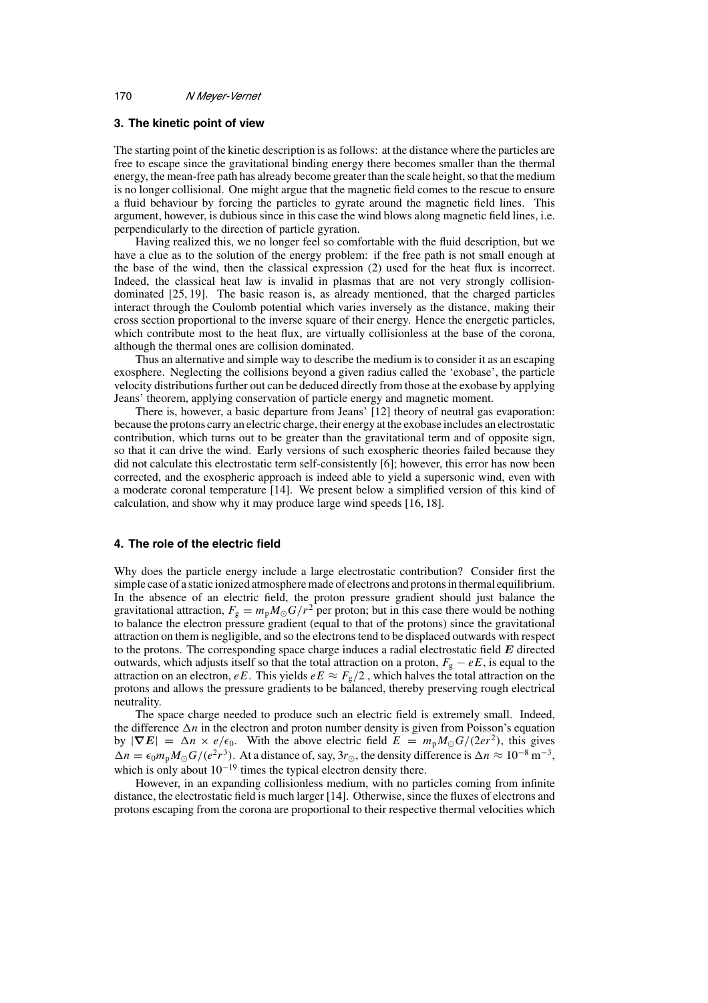# 3. The kinetic point of view

The starting point of the kinetic description is as follows: at the distance where the particles are free to escape since the gravitational binding energy there becomes smaller than the thermal energy, the mean-free path has already become greater than the scale height, so that the medium is no longer collisional. One might argue that the magnetic field comes to the rescue to ensure a fluid behaviour by forcing the particles to gyrate around the magnetic field lines. This argument, however, is dubious since in this case the wind blows along magnetic field lines, i.e. perpendicularly to the direction of particle gyration.

Having realized this, we no longer feel so comfortable with the fluid description, but we have a clue as to the solution of the energy problem: if the free path is not small enough at the base of the wind, then the classical expression (2) used for the heat flux is incorrect. Indeed, the classical heat law is invalid in plasmas that are not very strongly collisiondominated [25, 19]. The basic reason is, as already mentioned, that the charged particles interact through the Coulomb potential which varies inversely as the distance, making their cross section proportional to the inverse square of their energy. Hence the energetic particles, which contribute most to the heat flux, are virtually collisionless at the base of the corona, although the thermal ones are collision dominated.

Thus an alternative and simple way to describe the medium is to consider it as an escaping exosphere. Neglecting the collisions beyond a given radius called the 'exobase', the particle velocity distributions further out can be deduced directly from those at the exobase by applying Jeans' theorem, applying conservation of particle energy and magnetic moment.

There is, however, a basic departure from Jeans' [12] theory of neutral gas evaporation: because the protons carry an electric charge, their energy at the exobase includes an electrostatic contribution, which turns out to be greater than the gravitational term and of opposite sign, so that it can drive the wind. Early versions of such exospheric theories failed because they did not calculate this electrostatic term self-consistently [6]; however, this error has now been corrected, and the exospheric approach is indeed able to yield a supersonic wind, even with a moderate coronal temperature [14]. We present below a simplified version of this kind of calculation, and show why it may produce large wind speeds [16, 18].

# 4. The role of the electric field

Why does the particle energy include a large electrostatic contribution? Consider first the simple case of a static ionized atmosphere made of electrons and protons in thermal equilibrium. In the absence of an electric field, the proton pressure gradient should just balance the gravitational attraction,  $F_g = m_p M_{\odot} G/r^2$  per proton; but in this case there would be nothing to balance the electron pressure gradient (equal to that of the protons) since the gravitational attraction on them is negligible, and so the electrons tend to be displaced outwards with respect to the protons. The corresponding space charge induces a radial electrostatic field  $E$  directed outwards, which adjusts itself so that the total attraction on a proton,  $F_g - eE$ , is equal to the attraction on an electron, eE. This yields e $E \approx F_{g}/2$ , which halves the total attraction on the protons and allows the pressure gradients to be balanced, thereby preserving rough electrical neutrality.

The space charge needed to produce such an electric field is extremely small. Indeed, the difference  $\Delta n$  in the electron and proton number density is given from Poisson's equation by  $|\nabla E| = \Delta n \times e/\epsilon_0$ . With the above electric field  $E = m_p M_{\odot} G/(2er^2)$ , this gives  $\Delta n = \epsilon_0 m_p M_\odot G/(e^2 r^3)$ . At a distance of, say, 3r<sub>\opp</sub>, the density difference is  $\Delta n \approx 10^{-8}$  m<sup>-3</sup>, which is only about  $10^{-19}$  times the typical electron density there.

However, in an expanding collisionless medium, with no particles coming from infinite distance, the electrostatic field is much larger [14]. Otherwise, since the fluxes of electrons and protons escaping from the corona are proportional to their respective thermal velocities which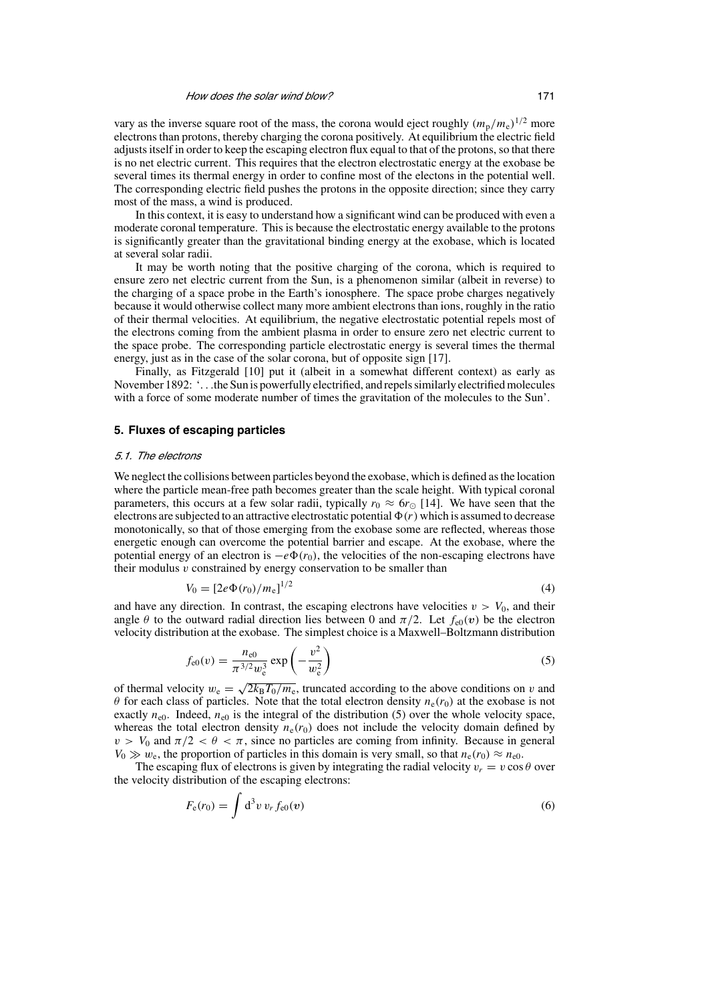vary as the inverse square root of the mass, the corona would eject roughly  $(m_{\rm p}/m_{\rm e})^{1/2}$  more electrons than protons, thereby charging the corona positively. At equilibrium the electric field adjusts itself in order to keep the escaping electron flux equal to that of the protons, so that there is no net electric current. This requires that the electron electrostatic energy at the exobase be several times its thermal energy in order to confine most of the electons in the potential well. The corresponding electric field pushes the protons in the opposite direction; since they carry most of the mass, a wind is produced.

In this context, it is easy to understand how a significant wind can be produced with even a moderate coronal temperature. This is because the electrostatic energy available to the protons is significantly greater than the gravitational binding energy at the exobase, which is located at several solar radii.

It may be worth noting that the positive charging of the corona, which is required to ensure zero net electric current from the Sun, is a phenomenon similar (albeit in reverse) to the charging of a space probe in the Earth's ionosphere. The space probe charges negatively because it would otherwise collect many more ambient electrons than ions, roughly in the ratio of their thermal velocities. At equilibrium, the negative electrostatic potential repels most of the electrons coming from the ambient plasma in order to ensure zero net electric current to the space probe. The corresponding particle electrostatic energy is several times the thermal energy, just as in the case of the solar corona, but of opposite sign [17].

Finally, as Fitzgerald [10] put it (albeit in a somewhat different context) as early as November 1892: '. . .the Sun is powerfully electrified, and repels similarly electrified molecules with a force of some moderate number of times the gravitation of the molecules to the Sun'.

## 5. Fluxes of escaping particles

#### 5.1. The electrons

We neglect the collisions between particles beyond the exobase, which is defined as the location where the particle mean-free path becomes greater than the scale height. With typical coronal parameters, this occurs at a few solar radii, typically  $r_0 \approx 6r_{\odot}$  [14]. We have seen that the electrons are subjected to an attractive electrostatic potential  $\Phi(r)$  which is assumed to decrease monotonically, so that of those emerging from the exobase some are reflected, whereas those energetic enough can overcome the potential barrier and escape. At the exobase, where the potential energy of an electron is  $-e\Phi(r_0)$ , the velocities of the non-escaping electrons have their modulus  $v$  constrained by energy conservation to be smaller than

$$
V_0 = [2e\Phi(r_0)/m_e]^{1/2}
$$
\n(4)

and have any direction. In contrast, the escaping electrons have velocities  $v > V_0$ , and their angle  $\theta$  to the outward radial direction lies between 0 and  $\pi/2$ . Let  $f_{\theta}(v)$  be the electron velocity distribution at the exobase. The simplest choice is a Maxwell–Boltzmann distribution

$$
f_{e0}(v) = \frac{n_{e0}}{\pi^{3/2} w_e^3} \exp\left(-\frac{v^2}{w_e^2}\right)
$$
 (5)

of thermal velocity  $w_e = \sqrt{2k_B T_0/m_e}$ , truncated according to the above conditions on v and  $\theta$  for each class of particles. Note that the total electron density  $n_e(r_0)$  at the exobase is not exactly  $n_{\text{e}0}$ . Indeed,  $n_{\text{e}0}$  is the integral of the distribution (5) over the whole velocity space, whereas the total electron density  $n_e(r_0)$  does not include the velocity domain defined by  $v > V_0$  and  $\pi/2 < \theta < \pi$ , since no particles are coming from infinity. Because in general  $V_0 \gg w_e$ , the proportion of particles in this domain is very small, so that  $n_e(r_0) \approx n_{e0}$ .

The escaping flux of electrons is given by integrating the radial velocity  $v_r = v \cos \theta$  over the velocity distribution of the escaping electrons:

$$
F_{\rm e}(r_0) = \int d^3v \, v_r f_{\rm e0}(v) \tag{6}
$$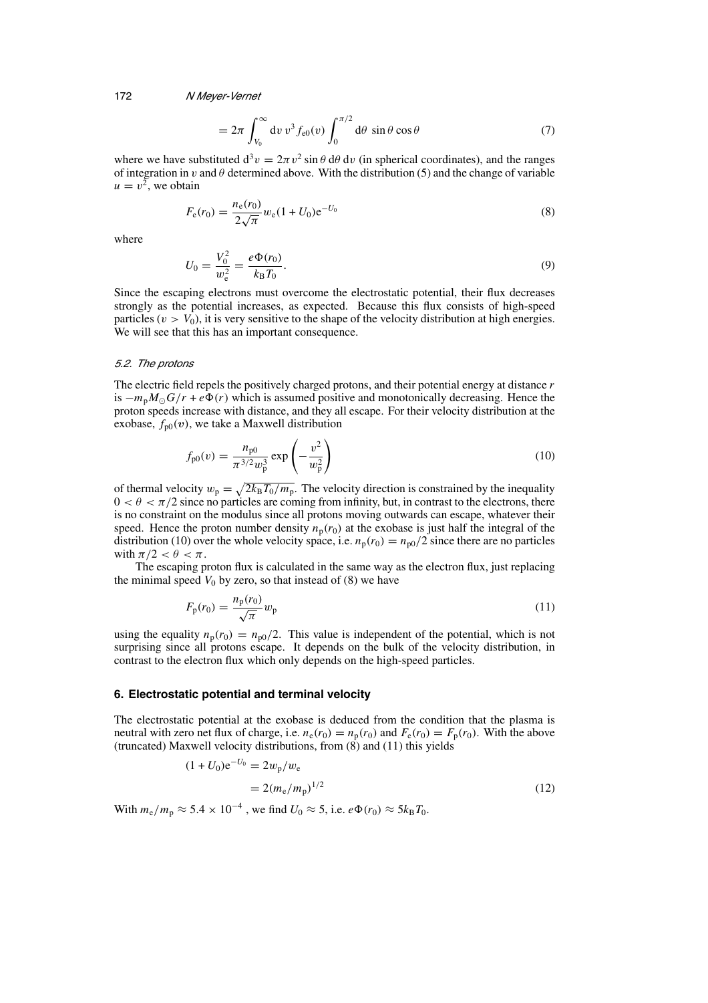172 *N Meyer-Vernet* 

$$
=2\pi \int_{V_0}^{\infty} dv \, v^3 f_{\text{e0}}(v) \int_0^{\pi/2} d\theta \, \sin \theta \cos \theta \tag{7}
$$

where we have substituted  $d^3v = 2\pi v^2 \sin \theta \, d\theta \, dv$  (in spherical coordinates), and the ranges of integration in v and  $\theta$  determined above. With the distribution (5) and the change of variable  $u = v^2$ , we obtain

$$
F_e(r_0) = \frac{n_e(r_0)}{2\sqrt{\pi}} w_e (1 + U_0) e^{-U_0}
$$
\n(8)

where

$$
U_0 = \frac{V_0^2}{w_e^2} = \frac{e\Phi(r_0)}{k_B T_0}.
$$
\n(9)

Since the escaping electrons must overcome the electrostatic potential, their flux decreases strongly as the potential increases, as expected. Because this flux consists of high-speed particles ( $v > V_0$ ), it is very sensitive to the shape of the velocity distribution at high energies. We will see that this has an important consequence.

#### 5.2. The protons

The electric field repels the positively charged protons, and their potential energy at distance  $r$ is  $-m_p M_{\odot} G/r + e \Phi(r)$  which is assumed positive and monotonically decreasing. Hence the proton speeds increase with distance, and they all escape. For their velocity distribution at the exobase,  $f_{p0}(v)$ , we take a Maxwell distribution

$$
f_{\rm p0}(v) = \frac{n_{\rm p0}}{\pi^{3/2} w_{\rm p}^3} \exp\left(-\frac{v^2}{w_{\rm p}^2}\right) \tag{10}
$$

of thermal velocity  $w_p = \sqrt{2k_B T_0/m_p}$ . The velocity direction is constrained by the inequality  $0 < \theta < \pi/2$  since no particles are coming from infinity, but, in contrast to the electrons, there is no constraint on the modulus since all protons moving outwards can escape, whatever their speed. Hence the proton number density  $n_p(r_0)$  at the exobase is just half the integral of the distribution (10) over the whole velocity space, i.e.  $n_p(r_0) = n_{p0}/2$  since there are no particles with  $\pi/2 < \theta < \pi$ .

The escaping proton flux is calculated in the same way as the electron flux, just replacing the minimal speed  $V_0$  by zero, so that instead of (8) we have

$$
F_{\rm p}(r_0) = \frac{n_{\rm p}(r_0)}{\sqrt{\pi}} w_{\rm p}
$$
\n(11)

using the equality  $n_p(r_0) = n_{p0}/2$ . This value is independent of the potential, which is not surprising since all protons escape. It depends on the bulk of the velocity distribution, in contrast to the electron flux which only depends on the high-speed particles.

## 6. Electrostatic potential and terminal velocity

The electrostatic potential at the exobase is deduced from the condition that the plasma is neutral with zero net flux of charge, i.e.  $n_e(r_0) = n_p(r_0)$  and  $F_e(r_0) = F_p(r_0)$ . With the above (truncated) Maxwell velocity distributions, from (8) and (11) this yields

$$
(1 + U_0)e^{-U_0} = 2w_p/w_e
$$
  
= 2(m<sub>e</sub>/m<sub>p</sub>)<sup>1/2</sup> (12)

With  $m_e/m_p \approx 5.4 \times 10^{-4}$ , we find  $U_0 \approx 5$ , i.e.  $e\Phi(r_0) \approx 5k_B T_0$ .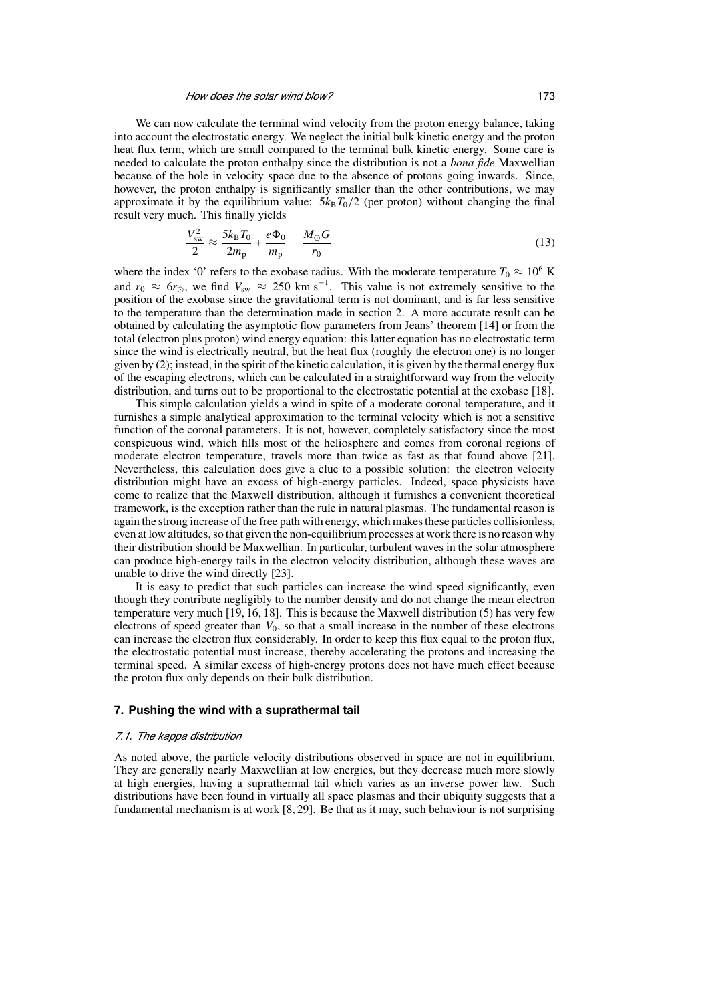### How does the solar wind blow?

We can now calculate the terminal wind velocity from the proton energy balance, taking into account the electrostatic energy. We neglect the initial bulk kinetic energy and the proton heat flux term, which are small compared to the terminal bulk kinetic energy. Some care is needed to calculate the proton enthalpy since the distribution is not a *bona fide* Maxwellian because of the hole in velocity space due to the absence of protons going inwards. Since, however, the proton enthalpy is significantly smaller than the other contributions, we may approximate it by the equilibrium value:  $5k_BT_0/2$  (per proton) without changing the final result very much. This finally yields

$$
\frac{V_{\rm sw}^2}{2} \approx \frac{5k_{\rm B}T_0}{2m_{\rm p}} + \frac{e\Phi_0}{m_{\rm p}} - \frac{M_{\odot}G}{r_0} \tag{13}
$$

where the index '0' refers to the exobase radius. With the moderate temperature  $T_0 \approx 10^6$  K and  $r_0 \approx 6r_{\odot}$ , we find  $V_{sw} \approx 250 \text{ km s}^{-1}$ . This value is not extremely sensitive to the position of the exobase since the gravitational term is not dominant, and is far less sensitive to the temperature than the determination made in section 2. A more accurate result can be obtained by calculating the asymptotic flow parameters from Jeans' theorem [14] or from the total (electron plus proton) wind energy equation: this latter equation has no electrostatic term since the wind is electrically neutral, but the heat flux (roughly the electron one) is no longer given by  $(2)$ ; instead, in the spirit of the kinetic calculation, it is given by the thermal energy flux of the escaping electrons, which can be calculated in a straightforward way from the velocity distribution, and turns out to be proportional to the electrostatic potential at the exobase [18].

This simple calculation yields a wind in spite of a moderate coronal temperature, and it furnishes a simple analytical approximation to the terminal velocity which is not a sensitive function of the coronal parameters. It is not, however, completely satisfactory since the most conspicuous wind, which fills most of the heliosphere and comes from coronal regions of moderate electron temperature, travels more than twice as fast as that found above [21]. Nevertheless, this calculation does give a clue to a possible solution: the electron velocity distribution might have an excess of high-energy particles. Indeed, space physicists have come to realize that the Maxwell distribution, although it furnishes a convenient theoretical framework, is the exception rather than the rule in natural plasmas. The fundamental reason is again the strong increase of the free path with energy, which makes these particles collisionless, even at low altitudes, so that given the non-equilibrium processes at work there is no reason why their distribution should be Maxwellian. In particular, turbulent waves in the solar atmosphere can produce high-energy tails in the electron velocity distribution, although these waves are unable to drive the wind directly [23].

It is easy to predict that such particles can increase the wind speed significantly, even though they contribute negligibly to the number density and do not change the mean electron temperature very much [19, 16, 18]. This is because the Maxwell distribution (5) has very few electrons of speed greater than  $V_0$ , so that a small increase in the number of these electrons can increase the electron flux considerably. In order to keep this flux equal to the proton flux, the electrostatic potential must increase, thereby accelerating the protons and increasing the terminal speed. A similar excess of high-energy protons does not have much effect because the proton flux only depends on their bulk distribution.

# 7. Pushing the wind with a suprathermal tail

# 7.1. The kappa distribution

As noted above, the particle velocity distributions observed in space are not in equilibrium. They are generally nearly Maxwellian at low energies, but they decrease much more slowly at high energies, having a suprathermal tail which varies as an inverse power law. Such distributions have been found in virtually all space plasmas and their ubiquity suggests that a fundamental mechanism is at work [8, 29]. Be that as it may, such behaviour is not surprising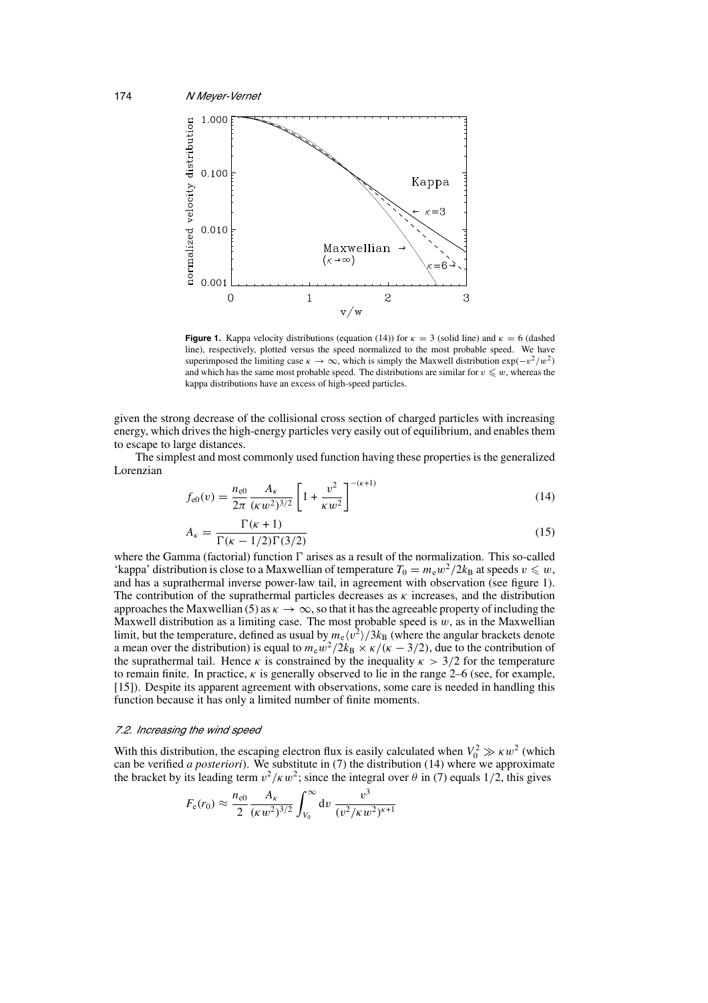

**Figure 1.** Kappa velocity distributions (equation (14)) for  $\kappa = 3$  (solid line) and  $\kappa = 6$  (dashed line), respectively, plotted versus the speed normalized to the most probable speed. We have superimposed the limiting case  $\kappa \to \infty$ , which is simply the Maxwell distribution  $\exp(-v^2/w^2)$ and which has the same most probable speed. The distributions are similar for  $v \leq w$ , whereas the kappa distributions have an excess of high-speed particles.

given the strong decrease of the collisional cross section of charged particles with increasing energy, which drives the high-energy particles very easily out of equilibrium, and enables them to escape to large distances.

The simplest and most commonly used function having these properties is the generalized Lorenzian

$$
f_{e0}(v) = \frac{n_{e0}}{2\pi} \frac{A_{\kappa}}{(\kappa w^2)^{3/2}} \left[ 1 + \frac{v^2}{\kappa w^2} \right]^{-(\kappa+1)}
$$
(14)

$$
A_{\kappa} = \frac{\Gamma(\kappa + 1)}{\Gamma(\kappa - 1/2)\Gamma(3/2)}
$$
(15)

where the Gamma (factorial) function  $\Gamma$  arises as a result of the normalization. This so-called 'kappa' distribution is close to a Maxwellian of temperature  $T_0 = m_e w^2/2k_B$  at speeds  $v \leq w$ , and has a suprathermal inverse power-law tail, in agreement with observation (see figure 1). The contribution of the suprathermal particles decreases as  $\kappa$  increases, and the distribution approaches the Maxwellian (5) as  $\kappa \to \infty$ , so that it has the agreeable property of including the Maxwell distribution as a limiting case. The most probable speed is  $w$ , as in the Maxwellian limit, but the temperature, defined as usual by  $m_e \langle v^2 \rangle / 3k_B$  (where the angular brackets denote a mean over the distribution) is equal to  $m_e w^2/2k_B \times \kappa/(\kappa - 3/2)$ , due to the contribution of the suprathermal tail. Hence  $\kappa$  is constrained by the inequality  $\kappa > 3/2$  for the temperature to remain finite. In practice,  $\kappa$  is generally observed to lie in the range 2–6 (see, for example, [15]). Despite its apparent agreement with observations, some care is needed in handling this function because it has only a limited number of finite moments.

#### 7.2. Increasing the wind speed

With this distribution, the escaping electron flux is easily calculated when  $V_0^2 \gg \kappa w^2$  (which can be verified *a posteriori*). We substitute in  $(7)$  the distribution  $(14)$  where we approximate the bracket by its leading term  $v^2/\kappa w^2$ ; since the integral over  $\theta$  in (7) equals 1/2, this gives

$$
F_e(r_0) \approx \frac{n_{e0}}{2} \frac{A_{\kappa}}{(\kappa w^2)^{3/2}} \int_{V_0}^{\infty} dv \frac{v^3}{(v^2/\kappa w^2)^{\kappa+1}}
$$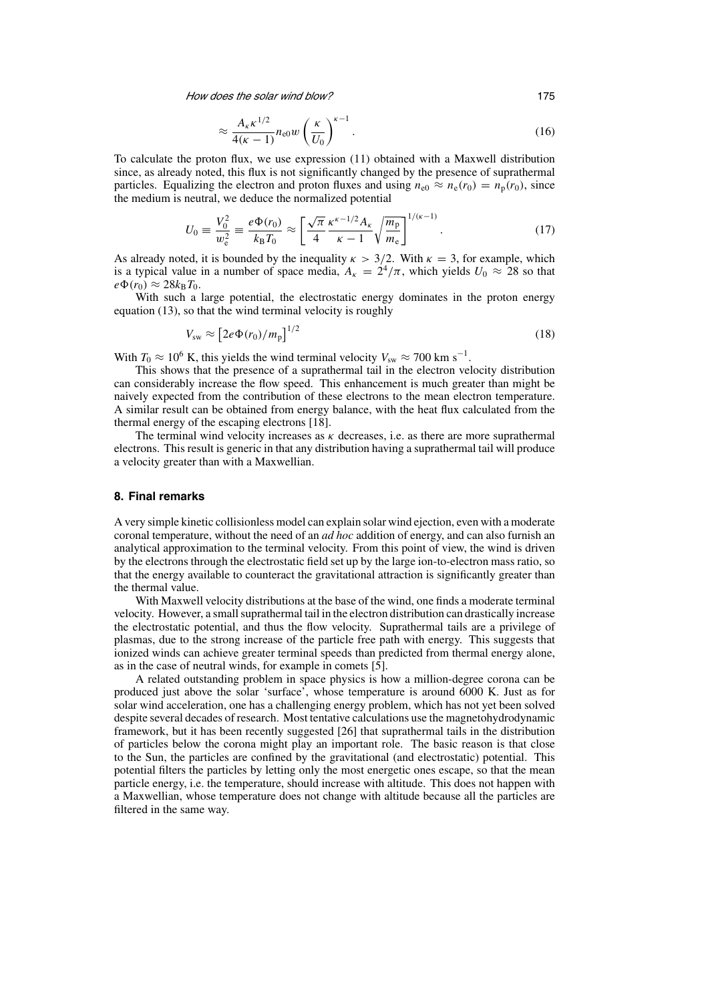How does the solar wind blow?

$$
\approx \frac{A_{\kappa} \kappa^{1/2}}{4(\kappa - 1)} n_{\text{e}0} w \left(\frac{\kappa}{U_0}\right)^{\kappa - 1}.
$$
\n(16)

To calculate the proton flux, we use expression (11) obtained with a Maxwell distribution since, as already noted, this flux is not significantly changed by the presence of suprathermal particles. Equalizing the electron and proton fluxes and using  $n_{e0} \approx n_e(r_0) = n_p(r_0)$ , since the medium is neutral, we deduce the normalized potential

$$
U_0 = \frac{V_0^2}{w_e^2} \equiv \frac{e\Phi(r_0)}{k_B T_0} \approx \left[\frac{\sqrt{\pi}}{4} \frac{\kappa^{\kappa - 1/2} A_{\kappa}}{\kappa - 1} \sqrt{\frac{m_p}{m_e}}\right]^{1/(\kappa - 1)}.
$$
 (17)

As already noted, it is bounded by the inequality  $\kappa > 3/2$ . With  $\kappa = 3$ , for example, which is a typical value in a number of space media,  $A_k = 2^4/\pi$ , which yields  $U_0 \approx 28$  so that  $e\Phi(r_0) \approx 28k_\text{B}T_0$ .

With such a large potential, the electrostatic energy dominates in the proton energy equation (13), so that the wind terminal velocity is roughly

$$
V_{\rm sw} \approx \left[2e\Phi(r_0)/m_{\rm p}\right]^{1/2} \tag{18}
$$

With  $T_0 \approx 10^6$  K, this yields the wind terminal velocity  $V_{sw} \approx 700$  km s<sup>-1</sup>.

This shows that the presence of a suprathermal tail in the electron velocity distribution can considerably increase the flow speed. This enhancement is much greater than might be naively expected from the contribution of these electrons to the mean electron temperature. A similar result can be obtained from energy balance, with the heat flux calculated from the thermal energy of the escaping electrons [18].

The terminal wind velocity increases as  $\kappa$  decreases, i.e. as there are more suprathermal electrons. This result is generic in that any distribution having a suprathermal tail will produce a velocity greater than with a Maxwellian.

# 8. Final remarks

A very simple kinetic collisionless model can explain solar wind ejection, even with a moderate coronal temperature, without the need of an *ad hoc* addition of energy, and can also furnish an analytical approximation to the terminal velocity. From this point of view, the wind is driven by the electrons through the electrostatic field set up by the large ion-to-electron mass ratio, so that the energy available to counteract the gravitational attraction is significantly greater than the thermal value.

With Maxwell velocity distributions at the base of the wind, one finds a moderate terminal velocity. However, a small suprathermal tail in the electron distribution can drastically increase the electrostatic potential, and thus the flow velocity. Suprathermal tails are a privilege of plasmas, due to the strong increase of the particle free path with energy. This suggests that ionized winds can achieve greater terminal speeds than predicted from thermal energy alone, as in the case of neutral winds, for example in comets [5].

A related outstanding problem in space physics is how a million-degree corona can be produced just above the solar 'surface', whose temperature is around 6000 K. Just as for solar wind acceleration, one has a challenging energy problem, which has not yet been solved despite several decades of research. Most tentative calculations use the magnetohydrodynamic framework, but it has been recently suggested [26] that suprathermal tails in the distribution of particles below the corona might play an important role. The basic reason is that close to the Sun, the particles are confined by the gravitational (and electrostatic) potential. This potential filters the particles by letting only the most energetic ones escape, so that the mean particle energy, i.e. the temperature, should increase with altitude. This does not happen with a Maxwellian, whose temperature does not change with altitude because all the particles are filtered in the same way.